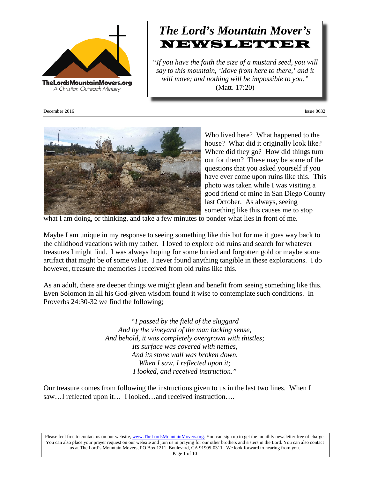

A Christian Outreach Ministry

December 2016 Issue 0032

# *The Lord's Mountain Mover's* NEWSLETTER

*"If you have the faith the size of a mustard seed, you will say to this mountain, 'Move from here to there,' and it will move; and nothing will be impossible to you."* (Matt. 17:20)



Who lived here? What happened to the house? What did it originally look like? Where did they go? How did things turn out for them? These may be some of the questions that you asked yourself if you have ever come upon ruins like this. This photo was taken while I was visiting a good friend of mine in San Diego County last October. As always, seeing something like this causes me to stop

what I am doing, or thinking, and take a few minutes to ponder what lies in front of me.

Maybe I am unique in my response to seeing something like this but for me it goes way back to the childhood vacations with my father. I loved to explore old ruins and search for whatever treasures I might find. I was always hoping for some buried and forgotten gold or maybe some artifact that might be of some value. I never found anything tangible in these explorations. I do however, treasure the memories I received from old ruins like this.

As an adult, there are deeper things we might glean and benefit from seeing something like this. Even Solomon in all his God-given wisdom found it wise to contemplate such conditions. In Proverbs 24:30-32 we find the following;

> *"I passed by the field of the sluggard And by the vineyard of the man lacking sense, And behold, it was completely overgrown with thistles; Its surface was covered with nettles, And its stone wall was broken down. When I saw, I reflected upon it; I looked, and received instruction."*

Our treasure comes from following the instructions given to us in the last two lines. When I saw...I reflected upon it... I looked…and received instruction….

Please feel free to contact us on our website, ww[w.TheLordsMountainMovers.o](http://www.thelordsmountainmovers.org/)rg. You can sign up to get the monthly newsletter free of charge. You can also place your prayer request on our website and join us in praying for our other brothers and sisters in the Lord. You can also contact us at The Lord's Mountain Movers, PO Box 1211, Boulevard, CA 91905-0311. We look forward to hearing from you. Page 1 of 10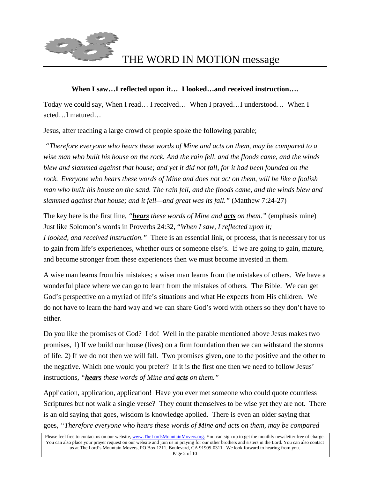

#### **When I saw…I reflected upon it… I looked…and received instruction….**

Today we could say, When I read… I received… When I prayed…I understood… When I acted…I matured…

Jesus, after teaching a large crowd of people spoke the following parable;

*"Therefore everyone who hears these words of Mine and acts on them, may be compared to a wise man who built his house on the rock. And the rain fell, and the floods came, and the winds blew and slammed against that house; and yet it did not fall, for it had been founded on the rock. Everyone who hears these words of Mine and does not act on them, will be like a foolish man who built his house on the sand. The rain fell, and the floods came, and the winds blew and slammed against that house; and it fell—and great was its fall."* (Matthew 7:24-27)

The key here is the first line, *"hears these words of Mine and acts on them."* (emphasis mine) Just like Solomon's words in Proverbs 24:32, "*When I saw, I reflected upon it; I looked, and received instruction."* There is an essential link, or process, that is necessary for us to gain from life's experiences, whether ours or someone else's. If we are going to gain, mature, and become stronger from these experiences then we must become invested in them.

A wise man learns from his mistakes; a wiser man learns from the mistakes of others. We have a wonderful place where we can go to learn from the mistakes of others. The Bible. We can get God's perspective on a myriad of life's situations and what He expects from His children. We do not have to learn the hard way and we can share God's word with others so they don't have to either.

Do you like the promises of God? I do! Well in the parable mentioned above Jesus makes two promises, 1) If we build our house (lives) on a firm foundation then we can withstand the storms of life. 2) If we do not then we will fall. Two promises given, one to the positive and the other to the negative. Which one would you prefer? If it is the first one then we need to follow Jesus' instructions, *"hears these words of Mine and acts on them."*

Application, application, application! Have you ever met someone who could quote countless Scriptures but not walk a single verse? They count themselves to be wise yet they are not. There is an old saying that goes, wisdom is knowledge applied. There is even an older saying that goes, *"Therefore everyone who hears these words of Mine and acts on them, may be compared* 

Please feel free to contact us on our website, ww[w.TheLordsMountainMovers.o](http://www.thelordsmountainmovers.org/)rg. You can sign up to get the monthly newsletter free of charge. You can also place your prayer request on our website and join us in praying for our other brothers and sisters in the Lord. You can also contact us at The Lord's Mountain Movers, PO Box 1211, Boulevard, CA 91905-0311. We look forward to hearing from you. Page 2 of 10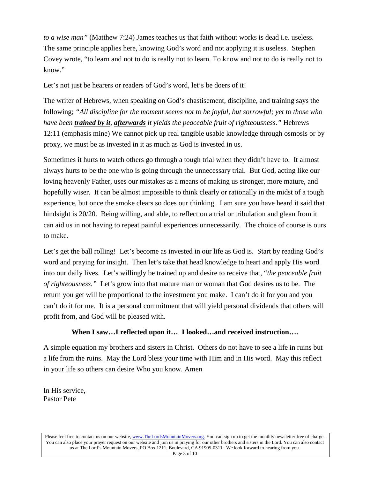*to a wise man"* (Matthew 7:24) James teaches us that faith without works is dead i.e. useless. The same principle applies here, knowing God's word and not applying it is useless. Stephen Covey wrote, "to learn and not to do is really not to learn. To know and not to do is really not to know."

Let's not just be hearers or readers of God's word, let's be doers of it!

The writer of Hebrews, when speaking on God's chastisement, discipline, and training says the following; *"All discipline for the moment seems not to be joyful, but sorrowful; yet to those who have been trained by it, afterwards it yields the peaceable fruit of righteousness."* Hebrews 12:11 (emphasis mine) We cannot pick up real tangible usable knowledge through osmosis or by proxy, we must be as invested in it as much as God is invested in us.

Sometimes it hurts to watch others go through a tough trial when they didn't have to. It almost always hurts to be the one who is going through the unnecessary trial. But God, acting like our loving heavenly Father, uses our mistakes as a means of making us stronger, more mature, and hopefully wiser. It can be almost impossible to think clearly or rationally in the midst of a tough experience, but once the smoke clears so does our thinking. I am sure you have heard it said that hindsight is 20/20. Being willing, and able, to reflect on a trial or tribulation and glean from it can aid us in not having to repeat painful experiences unnecessarily. The choice of course is ours to make.

Let's get the ball rolling! Let's become as invested in our life as God is. Start by reading God's word and praying for insight. Then let's take that head knowledge to heart and apply His word into our daily lives. Let's willingly be trained up and desire to receive that, "*the peaceable fruit of righteousness."* Let's grow into that mature man or woman that God desires us to be. The return you get will be proportional to the investment you make. I can't do it for you and you can't do it for me. It is a personal commitment that will yield personal dividends that others will profit from, and God will be pleased with.

### **When I saw…I reflected upon it… I looked…and received instruction….**

A simple equation my brothers and sisters in Christ. Others do not have to see a life in ruins but a life from the ruins. May the Lord bless your time with Him and in His word. May this reflect in your life so others can desire Who you know. Amen

In His service, Pastor Pete

Please feel free to contact us on our website, ww[w.TheLordsMountainMovers.o](http://www.thelordsmountainmovers.org/)rg. You can sign up to get the monthly newsletter free of charge. You can also place your prayer request on our website and join us in praying for our other brothers and sisters in the Lord. You can also contact us at The Lord's Mountain Movers, PO Box 1211, Boulevard, CA 91905-0311. We look forward to hearing from you. Page 3 of 10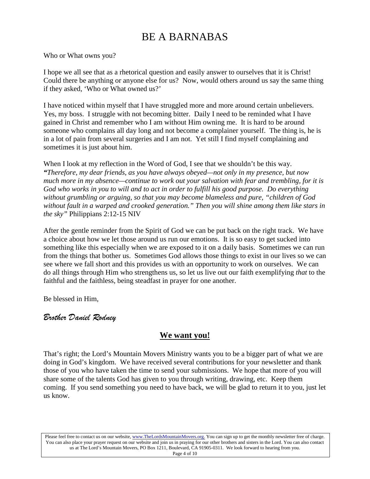## BE A BARNABAS

Who or What owns you?

I hope we all see that as a rhetorical question and easily answer to ourselves that it is Christ! Could there be anything or anyone else for us? Now, would others around us say the same thing if they asked, 'Who or What owned us?'

I have noticed within myself that I have struggled more and more around certain unbelievers. Yes, my boss. I struggle with not becoming bitter. Daily I need to be reminded what I have gained in Christ and remember who I am without Him owning me. It is hard to be around someone who complains all day long and not become a complainer yourself. The thing is, he is in a lot of pain from several surgeries and I am not. Yet still I find myself complaining and sometimes it is just about him.

When I look at my reflection in the Word of God, I see that we shouldn't be this way. *"Therefore, my dear friends, as you have always obeyed—not only in my presence, but now much more in my absence—continue to work out your salvation with fear and trembling, for it is God who works in you to will and to act in order to fulfill his good purpose. Do everything without grumbling or arguing, so that you may become blameless and pure, "children of God without fault in a warped and crooked generation." Then you will shine among them like stars in the sky"* Philippians 2:12-15 NIV

After the gentle reminder from the Spirit of God we can be put back on the right track. We have a choice about how we let those around us run our emotions. It is so easy to get sucked into something like this especially when we are exposed to it on a daily basis. Sometimes we can run from the things that bother us. Sometimes God allows those things to exist in our lives so we can see where we fall short and this provides us with an opportunity to work on ourselves. We can do all things through Him who strengthens us, so let us live out our faith exemplifying *that* to the faithful and the faithless, being steadfast in prayer for one another.

Be blessed in Him,

## *Brother Daniel Rodney*

## **We want you!**

That's right; the Lord's Mountain Movers Ministry wants you to be a bigger part of what we are doing in God's kingdom. We have received several contributions for your newsletter and thank those of you who have taken the time to send your submissions. We hope that more of you will share some of the talents God has given to you through writing, drawing, etc. Keep them coming. If you send something you need to have back, we will be glad to return it to you, just let us know.

Please feel free to contact us on our website, ww[w.TheLordsMountainMovers.o](http://www.thelordsmountainmovers.org/)rg. You can sign up to get the monthly newsletter free of charge. You can also place your prayer request on our website and join us in praying for our other brothers and sisters in the Lord. You can also contact us at The Lord's Mountain Movers, PO Box 1211, Boulevard, CA 91905-0311. We look forward to hearing from you. Page 4 of 10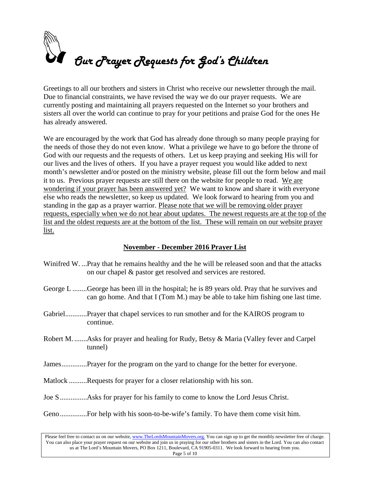

Greetings to all our brothers and sisters in Christ who receive our newsletter through the mail. Due to financial constraints, we have revised the way we do our prayer requests. We are currently posting and maintaining all prayers requested on the Internet so your brothers and sisters all over the world can continue to pray for your petitions and praise God for the ones He has already answered.

We are encouraged by the work that God has already done through so many people praying for the needs of those they do not even know. What a privilege we have to go before the throne of God with our requests and the requests of others. Let us keep praying and seeking His will for our lives and the lives of others. If you have a prayer request you would like added to next month's newsletter and/or posted on the ministry website, please fill out the form below and mail it to us. Previous prayer requests are still there on the website for people to read. We are wondering if your prayer has been answered yet? We want to know and share it with everyone else who reads the newsletter, so keep us updated. We look forward to hearing from you and standing in the gap as a prayer warrior. Please note that we will be removing older prayer requests, especially when we do not hear about updates. The newest requests are at the top of the list and the oldest requests are at the bottom of the list. These will remain on our website prayer list.

### **November - December 2016 Prayer List**

| Winifred W.  Pray that he remains healthy and the he will be released soon and that the attacks<br>on our chapel & pastor get resolved and services are restored.              |
|--------------------------------------------------------------------------------------------------------------------------------------------------------------------------------|
| George L George has been ill in the hospital; he is 89 years old. Pray that he survives and<br>can go home. And that I (Tom M.) may be able to take him fishing one last time. |
| GabrielPrayer that chapel services to run smother and for the KAIROS program to<br>continue.                                                                                   |
| Robert M. Asks for prayer and healing for Rudy, Betsy & Maria (Valley fever and Carpel<br>tunnel)                                                                              |
|                                                                                                                                                                                |
| Matlock Requests for prayer for a closer relationship with his son.                                                                                                            |
|                                                                                                                                                                                |
|                                                                                                                                                                                |

Please feel free to contact us on our website, ww[w.TheLordsMountainMovers.o](http://www.thelordsmountainmovers.org/)rg. You can sign up to get the monthly newsletter free of charge. You can also place your prayer request on our website and join us in praying for our other brothers and sisters in the Lord. You can also contact us at The Lord's Mountain Movers, PO Box 1211, Boulevard, CA 91905-0311. We look forward to hearing from you. Page 5 of 10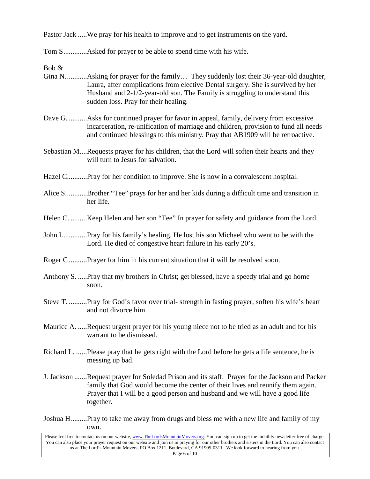Pastor Jack .....We pray for his health to improve and to get instruments on the yard.

Tom S.............Asked for prayer to be able to spend time with his wife.

Bob &

- Gina N............Asking for prayer for the family… They suddenly lost their 36-year-old daughter, Laura, after complications from elective Dental surgery. She is survived by her Husband and 2-1/2-year-old son. The Family is struggling to understand this sudden loss. Pray for their healing.
- Dave G. ..........Asks for continued prayer for favor in appeal, family, delivery from excessive incarceration, re-unification of marriage and children, provision to fund all needs and continued blessings to this ministry. Pray that AB1909 will be retroactive.
- Sebastian M....Requests prayer for his children, that the Lord will soften their hearts and they will turn to Jesus for salvation.
- Hazel C...........Pray for her condition to improve. She is now in a convalescent hospital.
- Alice S............Brother "Tee" prays for her and her kids during a difficult time and transition in her life.
- Helen C. .........Keep Helen and her son "Tee" In prayer for safety and guidance from the Lord.
- John L.............Pray for his family's healing. He lost his son Michael who went to be with the Lord. He died of congestive heart failure in his early 20's.
- Roger C..........Prayer for him in his current situation that it will be resolved soon.
- Anthony S. .....Pray that my brothers in Christ; get blessed, have a speedy trial and go home soon.
- Steve T. ..........Pray for God's favor over trial- strength in fasting prayer, soften his wife's heart and not divorce him.
- Maurice A. .....Request urgent prayer for his young niece not to be tried as an adult and for his warrant to be dismissed.
- Richard L. ......Please pray that he gets right with the Lord before he gets a life sentence, he is messing up bad.
- J. Jackson .......Request prayer for Soledad Prison and its staff. Prayer for the Jackson and Packer family that God would become the center of their lives and reunify them again. Prayer that I will be a good person and husband and we will have a good life together.
- Joshua H.........Pray to take me away from drugs and bless me with a new life and family of my own.

Please feel free to contact us on our website, ww[w.TheLordsMountainMovers.o](http://www.thelordsmountainmovers.org/)rg. You can sign up to get the monthly newsletter free of charge. You can also place your prayer request on our website and join us in praying for our other brothers and sisters in the Lord. You can also contact us at The Lord's Mountain Movers, PO Box 1211, Boulevard, CA 91905-0311. We look forward to hearing from you. Page 6 of 10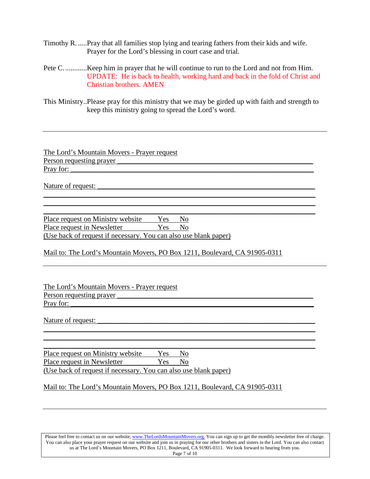- Timothy R. .....Pray that all families stop lying and tearing fathers from their kids and wife. Prayer for the Lord's blessing in court case and trial.
- Pete C.............Keep him in prayer that he will continue to run to the Lord and not from Him. UPDATE: He is back to health, working hard and back in the fold of Christ and Christian brothers. AMEN

This Ministry..Please pray for this ministry that we may be girded up with faith and strength to keep this ministry going to spread the Lord's word.

\_\_\_\_\_\_\_\_\_\_\_\_\_\_\_\_\_\_\_\_\_\_\_\_\_\_\_\_\_\_\_\_\_\_\_\_\_\_\_\_\_\_\_\_\_\_\_\_\_\_\_\_\_\_\_\_\_\_\_\_\_\_\_\_\_\_\_\_\_\_\_\_\_\_\_ \_\_\_\_\_\_\_\_\_\_\_\_\_\_\_\_\_\_\_\_\_\_\_\_\_\_\_\_\_\_\_\_\_\_\_\_\_\_\_\_\_\_\_\_\_\_\_\_\_\_\_\_\_\_\_\_\_\_\_\_\_\_\_\_\_\_\_\_\_\_\_\_\_\_\_

\_\_\_\_\_\_\_\_\_\_\_\_\_\_\_\_\_\_\_\_\_\_\_\_\_\_\_\_\_\_\_\_\_\_\_\_\_\_\_\_\_\_\_\_\_\_\_\_\_\_\_\_\_\_\_\_\_\_\_\_\_\_\_\_\_\_\_\_\_\_\_\_\_\_\_ \_\_\_\_\_\_\_\_\_\_\_\_\_\_\_\_\_\_\_\_\_\_\_\_\_\_\_\_\_\_\_\_\_\_\_\_\_\_\_\_\_\_\_\_\_\_\_\_\_\_\_\_\_\_\_\_\_\_\_\_\_\_\_\_\_\_\_\_\_\_\_\_\_\_\_ \_\_\_\_\_\_\_\_\_\_\_\_\_\_\_\_\_\_\_\_\_\_\_\_\_\_\_\_\_\_\_\_\_\_\_\_\_\_\_\_\_\_\_\_\_\_\_\_\_\_\_\_\_\_\_\_\_\_\_\_\_\_\_\_\_\_\_\_\_\_\_\_\_\_\_

The Lord's Mountain Movers - Prayer request Person requesting prayer \_\_\_\_\_\_\_\_\_\_\_\_\_\_\_\_\_\_\_\_\_\_\_\_\_\_\_\_\_\_\_\_\_\_\_\_\_\_\_\_\_\_\_\_\_\_\_\_\_\_\_\_\_\_ Pray for:

Nature of request:

\_\_\_\_\_\_\_\_\_\_\_\_\_\_\_\_\_\_\_\_\_\_\_\_\_\_\_\_\_\_\_\_\_\_\_\_\_\_\_\_\_\_\_\_\_\_\_\_\_\_\_\_\_\_\_\_\_\_\_\_\_\_\_\_\_\_\_\_\_\_\_\_\_\_\_ Place request on Ministry website Yes No Place request in Newsletter Yes No (Use back of request if necessary. You can also use blank paper)

Mail to: The Lord's Mountain Movers, PO Box 1211, Boulevard, CA 91905-0311

The Lord's Mountain Movers - Prayer request Person requesting prayer Pray for:

Nature of request:

Place request on Ministry website Yes No Place request in Newsletter Yes No (Use back of request if necessary. You can also use blank paper)

Mail to: The Lord's Mountain Movers, PO Box 1211, Boulevard, CA 91905-0311

Please feel free to contact us on our website, ww[w.TheLordsMountainMovers.o](http://www.thelordsmountainmovers.org/)rg. You can sign up to get the monthly newsletter free of charge. You can also place your prayer request on our website and join us in praying for our other brothers and sisters in the Lord. You can also contact us at The Lord's Mountain Movers, PO Box 1211, Boulevard, CA 91905-0311. We look forward to hearing from you. Page 7 of 10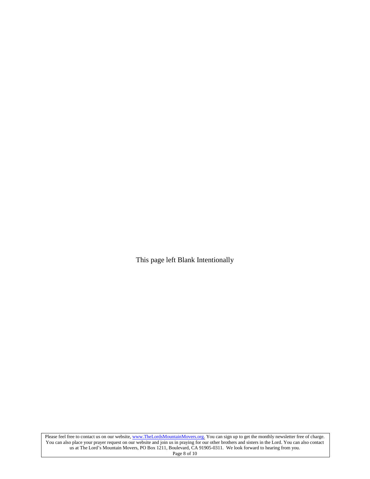This page left Blank Intentionally

Please feel free to contact us on our website, ww[w.TheLordsMountainMovers.o](http://www.thelordsmountainmovers.org/)rg. You can sign up to get the monthly newsletter free of charge. You can also place your prayer request on our website and join us in praying for our other brothers and sisters in the Lord. You can also contact us at The Lord's Mountain Movers, PO Box 1211, Boulevard, CA 91905-0311. We look forward to hearing from you. Page 8 of 10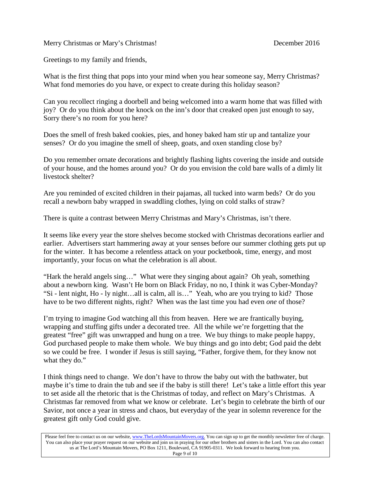Merry Christmas or Mary's Christmas! December 2016

Greetings to my family and friends,

What is the first thing that pops into your mind when you hear someone say, Merry Christmas? What fond memories do you have, or expect to create during this holiday season?

Can you recollect ringing a doorbell and being welcomed into a warm home that was filled with joy? Or do you think about the knock on the inn's door that creaked open just enough to say, Sorry there's no room for you here?

Does the smell of fresh baked cookies, pies, and honey baked ham stir up and tantalize your senses? Or do you imagine the smell of sheep, goats, and oxen standing close by?

Do you remember ornate decorations and brightly flashing lights covering the inside and outside of your house, and the homes around you? Or do you envision the cold bare walls of a dimly lit livestock shelter?

Are you reminded of excited children in their pajamas, all tucked into warm beds? Or do you recall a newborn baby wrapped in swaddling clothes, lying on cold stalks of straw?

There is quite a contrast between Merry Christmas and Mary's Christmas, isn't there.

It seems like every year the store shelves become stocked with Christmas decorations earlier and earlier. Advertisers start hammering away at your senses before our summer clothing gets put up for the winter. It has become a relentless attack on your pocketbook, time, energy, and most importantly, your focus on what the celebration is all about.

"Hark the herald angels sing…" What were they singing about again? Oh yeah, something about a newborn king. Wasn't He born on Black Friday, no no, I think it was Cyber-Monday? "Si - lent night, Ho - ly night…all is calm, all is…" Yeah, who are you trying to kid? Those have to be two different nights, right? When was the last time you had even *one* of those?

I'm trying to imagine God watching all this from heaven. Here we are frantically buying, wrapping and stuffing gifts under a decorated tree. All the while we're forgetting that the greatest "free" gift was unwrapped and hung on a tree. We buy things to make people happy, God purchased people to make them whole. We buy things and go into debt; God paid the debt so we could be free. I wonder if Jesus is still saying, "Father, forgive them, for they know not what they do."

I think things need to change. We don't have to throw the baby out with the bathwater, but maybe it's time to drain the tub and see if the baby is still there! Let's take a little effort this year to set aside all the rhetoric that is the Christmas of today, and reflect on Mary's Christmas. A Christmas far removed from what we know or celebrate. Let's begin to celebrate the birth of our Savior, not once a year in stress and chaos, but everyday of the year in solemn reverence for the greatest gift only God could give.

Please feel free to contact us on our website, ww[w.TheLordsMountainMovers.o](http://www.thelordsmountainmovers.org/)rg. You can sign up to get the monthly newsletter free of charge. You can also place your prayer request on our website and join us in praying for our other brothers and sisters in the Lord. You can also contact us at The Lord's Mountain Movers, PO Box 1211, Boulevard, CA 91905-0311. We look forward to hearing from you. Page 9 of 10